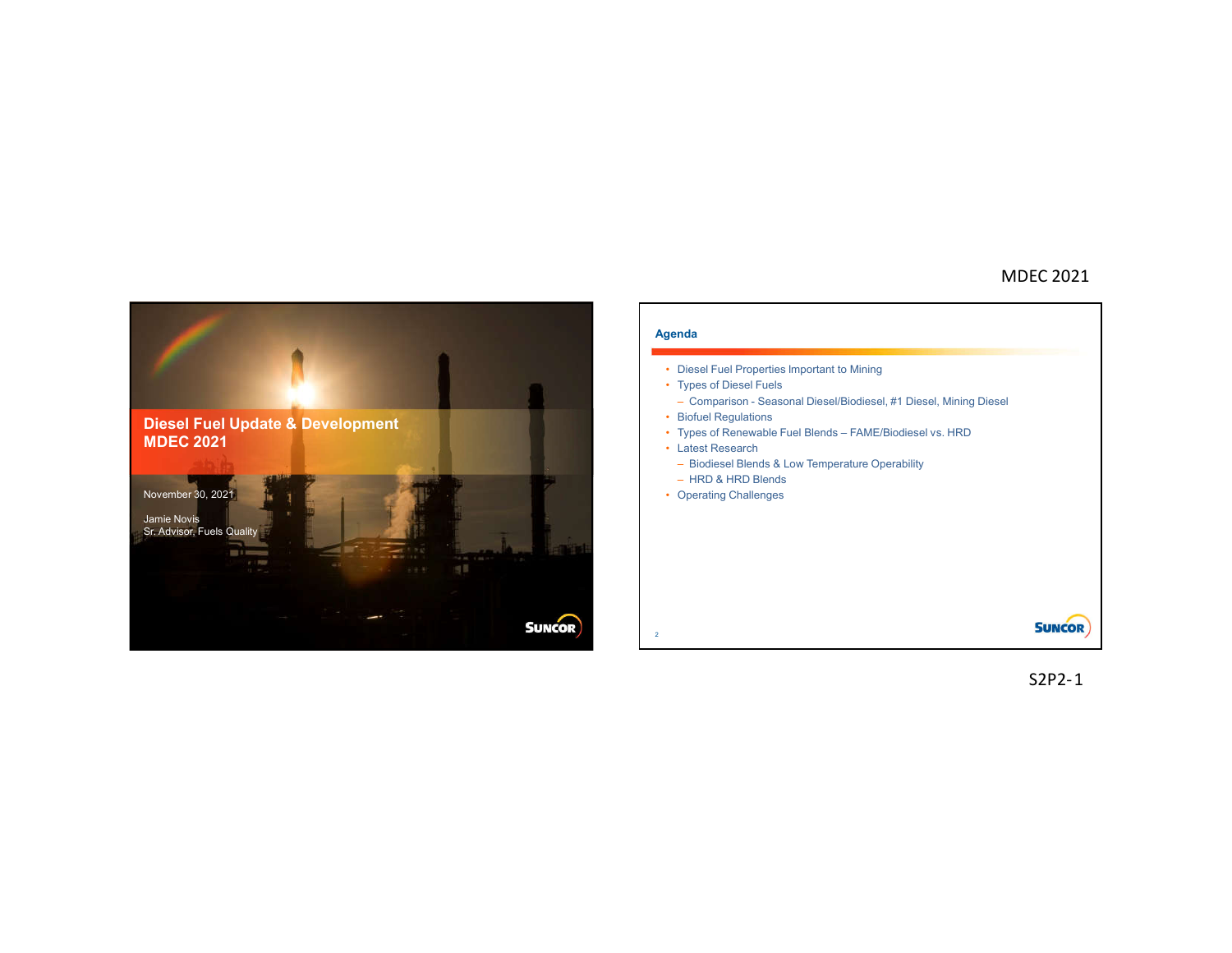



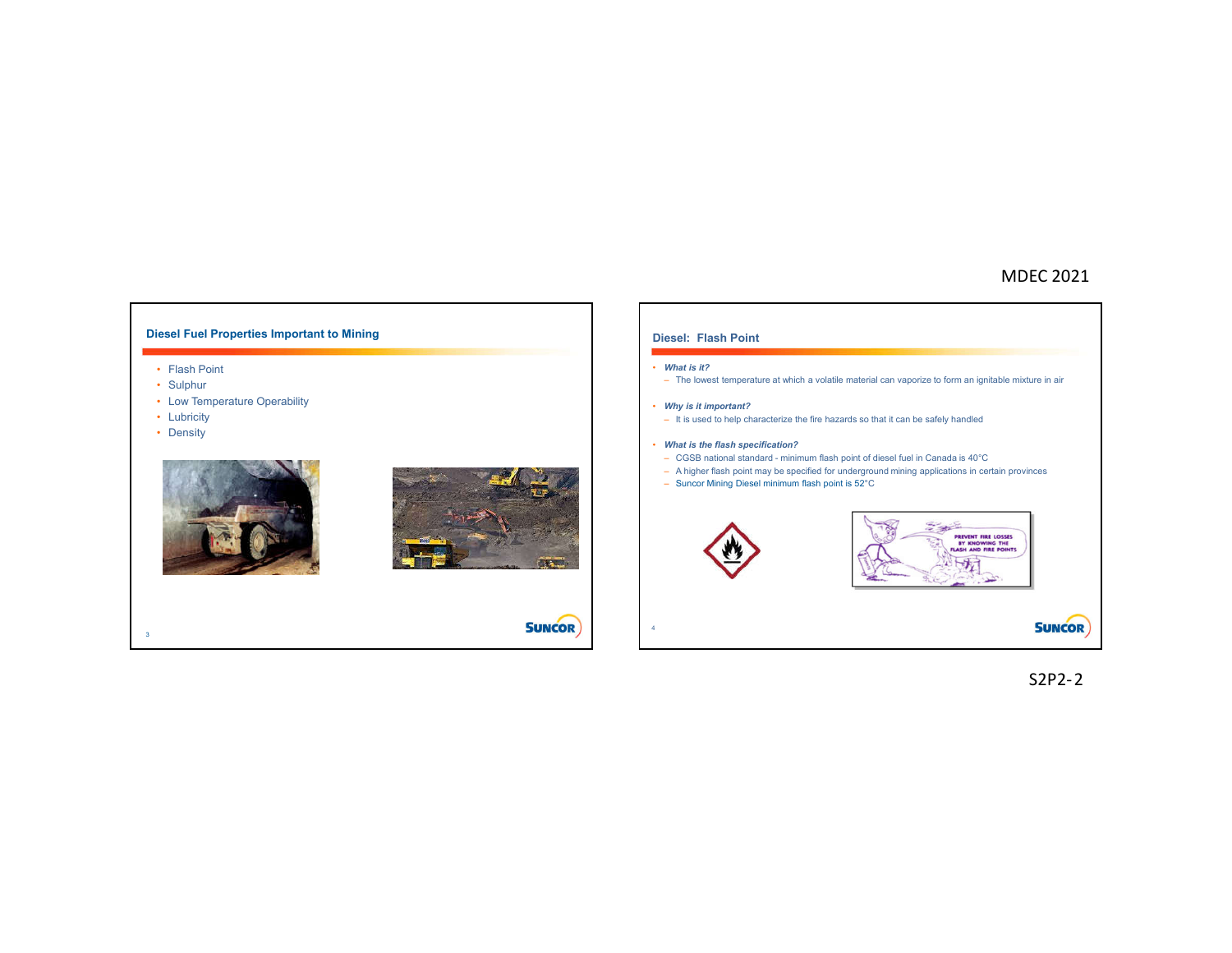## **Diesel Fuel Properties Important to Mining Diesel: Flash Point** • *What is it?* • Flash Point – The lowest temperature at which a volatile material can vaporize to form an ignitable mixture in air • Sulphur • Low Temperature Operability • *Why is it important?* • Lubricity – It is used to help characterize the fire hazards so that it can be safely handled • Density • *What is the flash specification?* – CGSB national standard - minimum flash point of diesel fuel in Canada is 40°C – A higher flash point may be specified for underground mining applications in certain provinces – Suncor Mining Diesel minimum flash point is 52°C **Signed** REVENT FIRE LOSSES<br>BY KNOWING THE<br>SH AND FIRE POINT  $M_1$ **SUNCOR SUNCOR** 43

S2P2-2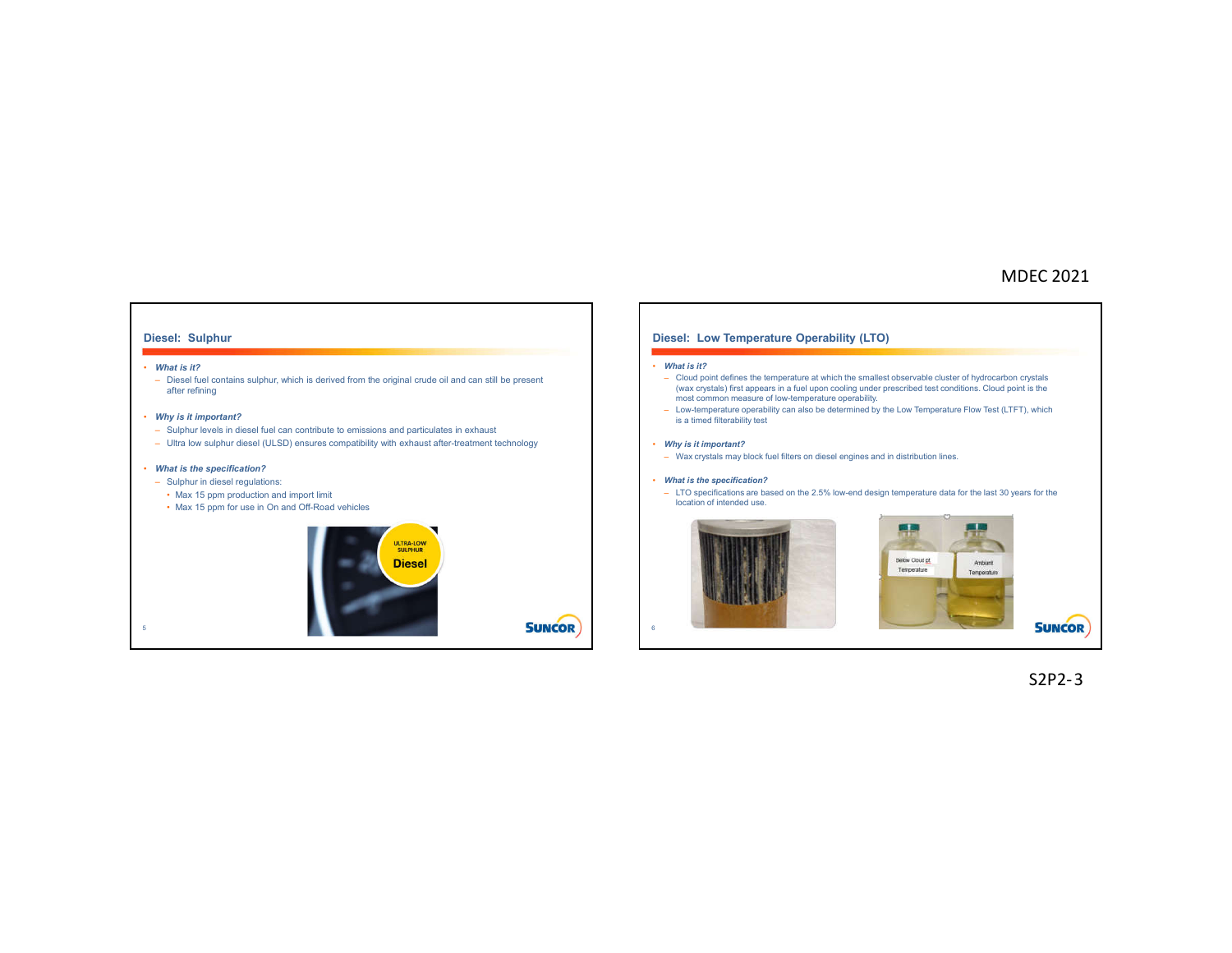### **Diesel: Sulphur**

#### • *What is it?*

– Diesel fuel contains sulphur, which is derived from the original crude oil and can still be present after refining

### • *Why is it important?*

- Sulphur levels in diesel fuel can contribute to emissions and particulates in exhaust
- Ultra low sulphur diesel (ULSD) ensures compatibility with exhaust after-treatment technology

### • *What is the specification?*

- Sulphur in diesel regulations:
	- Max 15 ppm production and import limit
	- Max 15 ppm for use in On and Off-Road vehicles



### **Diesel: Low Temperature Operability (LTO)**

### • *What is it?*

6

- Cloud point defines the temperature at which the smallest observable cluster of hydrocarbon crystals (wax crystals) first appears in a fuel upon cooling under prescribed test conditions. Cloud point is the most common measure of low-temperature operability.
- Low-temperature operability can also be determined by the Low Temperature Flow Test (LTFT), which is a timed filterability test

#### • *Why is it important?*

– Wax crystals may block fuel filters on diesel engines and in distribution lines.

### • *What is the specification?*

– LTO specifications are based on the 2.5% low-end design temperature data for the last 30 years for the location of intended use.





S2P2-3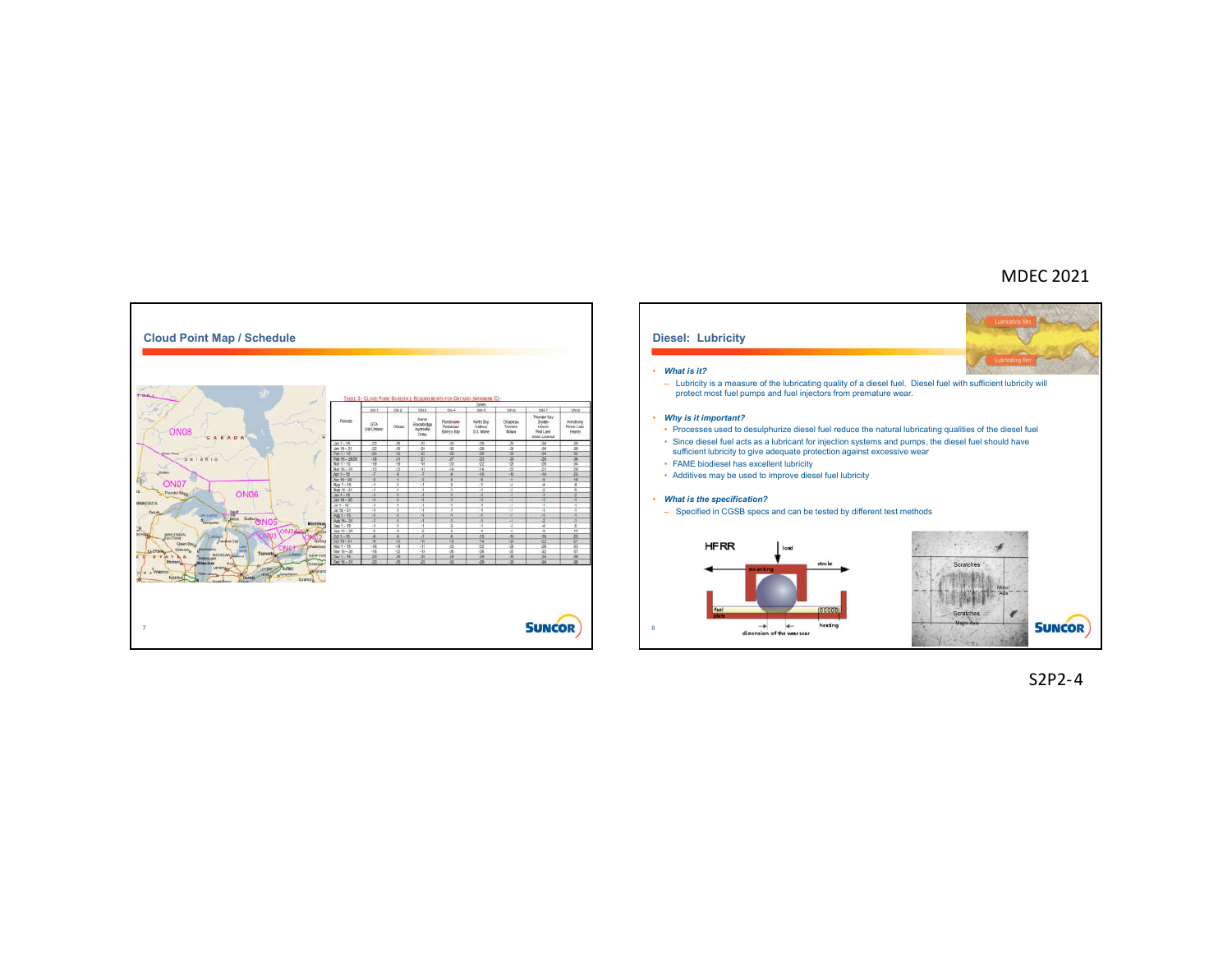



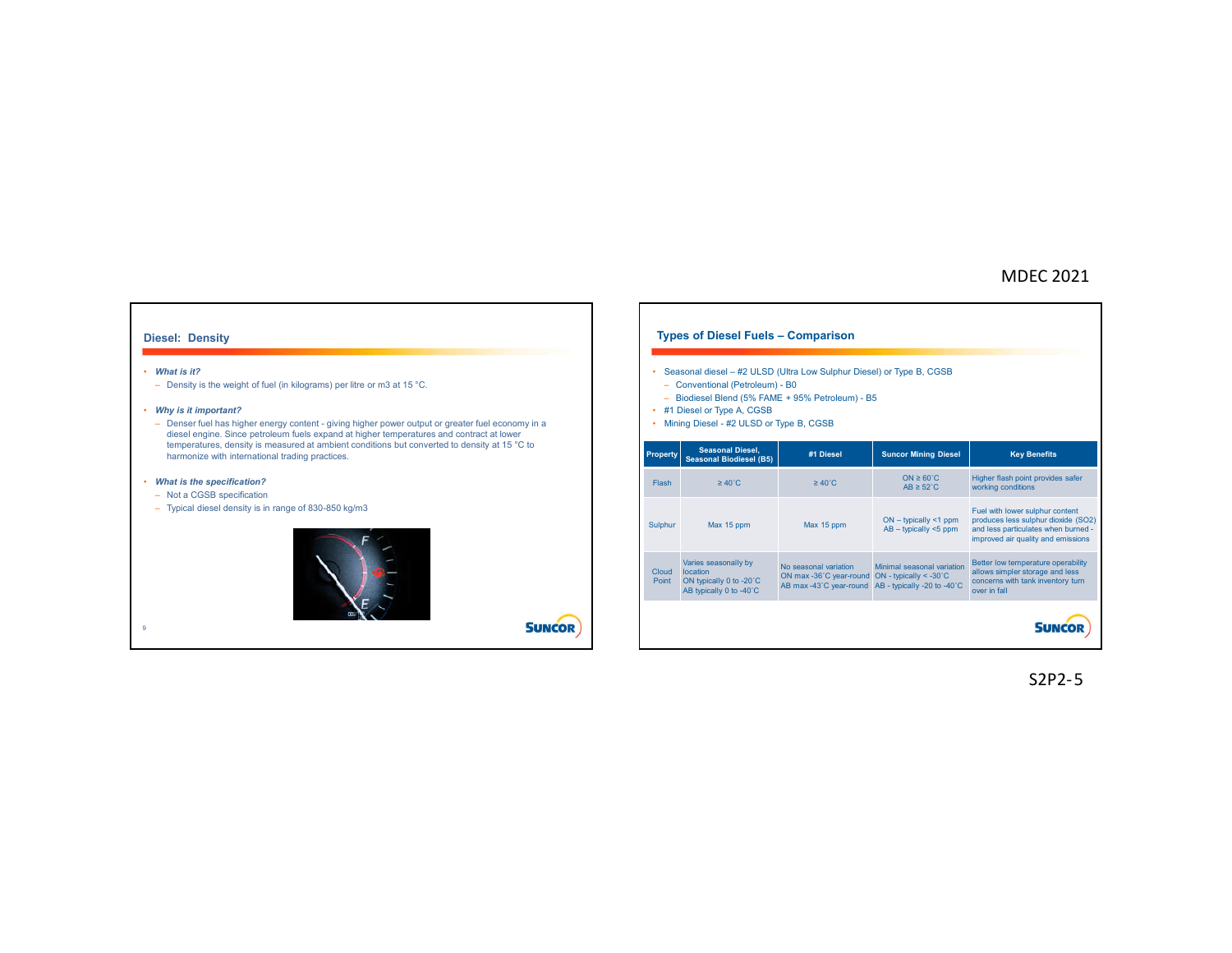### **Diesel: Density**

#### • *What is it?*

9

– Density is the weight of fuel (in kilograms) per litre or m3 at 15 °C.

### • *Why is it important?*

– Denser fuel has higher energy content - giving higher power output or greater fuel economy in a diesel engine. Since petroleum fuels expand at higher temperatures and contract at lower temperatures, density is measured at ambient conditions but converted to density at 15 °C to harmonize with international trading practices.

### • *What is the specification?*

- Not a CGSB specification
- Typical diesel density is in range of 830-850 kg/m3



**SUNCOR** 

**Types of Diesel Fuels – Comparison** • Seasonal diesel – #2 ULSD (Ultra Low Sulphur Diesel) or Type B, CGSB – Conventional (Petroleum) - B0 – Biodiesel Blend (5% FAME + 95% Petroleum) - B5 • #1 Diesel or Type A, CGSB • Mining Diesel - #2 ULSD or Type B, CGSB**Property Seasonal Diesel, Seasonal Biodiesel (B5) #1 Diesel Suncor Mining Diesel Key Benefits** Higher flash point provides safer Flash ≥ 40˚C ≥ 40˚C ON ≥ 60˚C  $AB \geq 52^{\circ}C$ working conditions Fuel with lower sulphur content Sulphur Max 15 ppm Max 15 ppm ON – typically <1 ppm produces less sulphur dioxide (SO2) AB – typically <5 ppm and less particulates when burned improved air quality and emissions Varies seasonally by Better low temperature operability No seasonal variation ON max -36˚C year-round AB max -43˚C year-round Minimal seasonal variation ON - typically < -30˚C AB - typically -20 to -40˚C allows simpler storage and less Cloud location concerns with tank inventory turn Point ON typically 0 to -20˚C AB typically 0 to -40˚C over in fall **SUNCOR**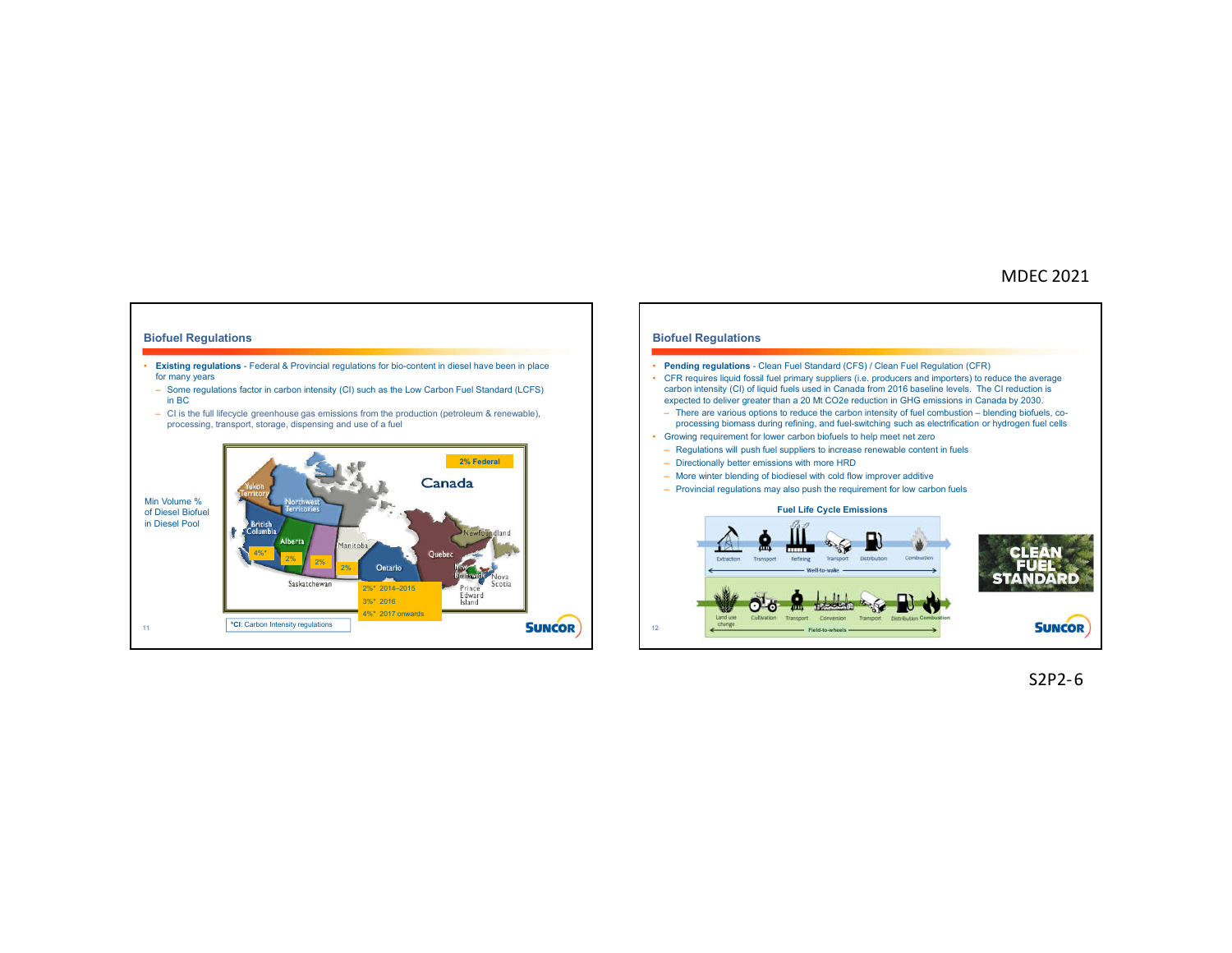### **Biofuel Regulations**

- **Existing regulations**  Federal & Provincial regulations for bio-content in diesel have been in place for many years
	- Some regulations factor in carbon intensity (CI) such as the Low Carbon Fuel Standard (LCFS) in BC
	- CI is the full lifecycle greenhouse gas emissions from the production (petroleum & renewable), processing, transport, storage, dispensing and use of a fuel





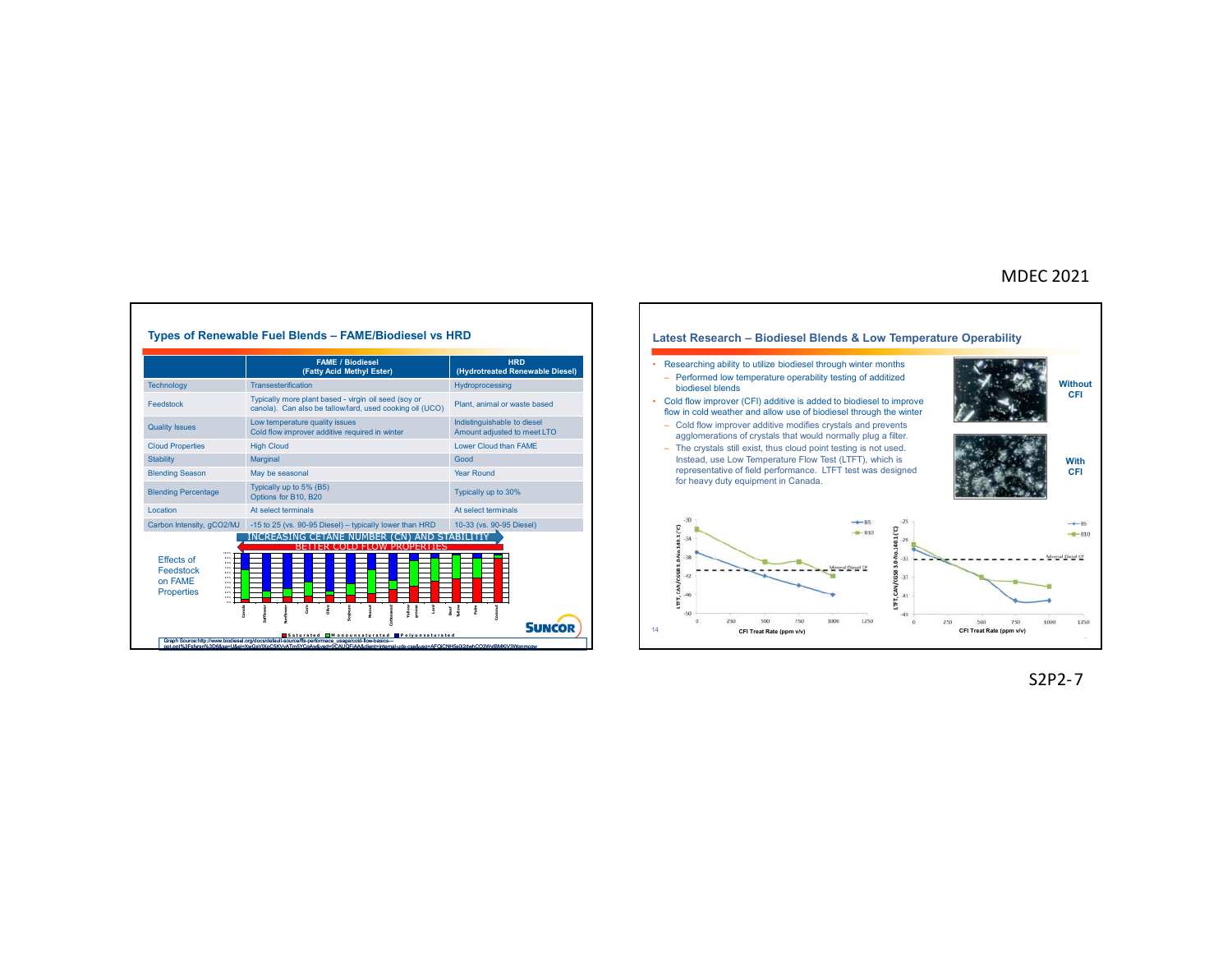



S2P2-7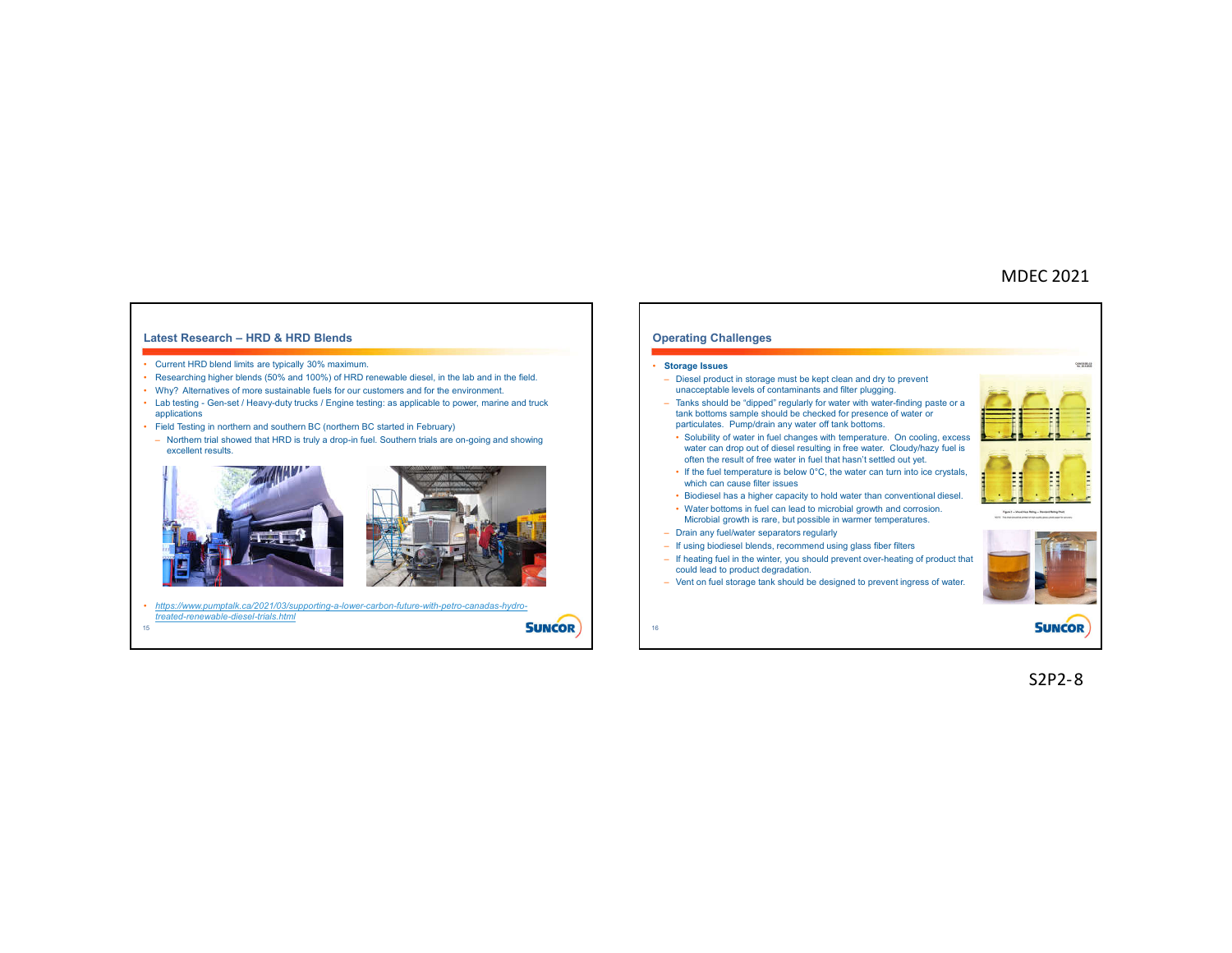### **Latest Research – HRD & HRD Blends**

#### • Current HRD blend limits are typically 30% maximum.

- Researching higher blends (50% and 100%) of HRD renewable diesel, in the lab and in the field.
- Why? Alternatives of more sustainable fuels for our customers and for the environment.
- Lab testing Gen-set / Heavy-duty trucks / Engine testing: as applicable to power, marine and truck applications
- Field Testing in northern and southern BC (northern BC started in February)
- Northern trial showed that HRD is truly a drop-in fuel. Southern trials are on-going and showing excellent results.



• *https://www.pumptalk.ca/2021/03/supporting-a-lower-carbon-future-with-petro-canadas-hydrotreated-renewable-diesel-trials.html* **SUNCOR** 

15

**Operating Challenges** --• **Storage Issues** – Diesel product in storage must be kept clean and dry to prevent unacceptable levels of contaminants and filter plugging. – Tanks should be "dipped" regularly for water with water-finding paste or a tank bottoms sample should be checked for presence of water or particulates. Pump/drain any water off tank bottoms. • Solubility of water in fuel changes with temperature. On cooling, excess water can drop out of diesel resulting in free water. Cloudy/hazy fuel is often the result of free water in fuel that hasn't settled out yet. • If the fuel temperature is below 0°C, the water can turn into ice crystals, н which can cause filter issues • Biodiesel has a higher capacity to hold water than conventional diesel. • Water bottoms in fuel can lead to microbial growth and corrosion. Microbial growth is rare, but possible in warmer temperatures. – Drain any fuel/water separators regularly – If using biodiesel blends, recommend using glass fiber filters – If heating fuel in the winter, you should prevent over-heating of product that could lead to product degradation. – Vent on fuel storage tank should be designed to prevent ingress of water. **SUNCOR** 16

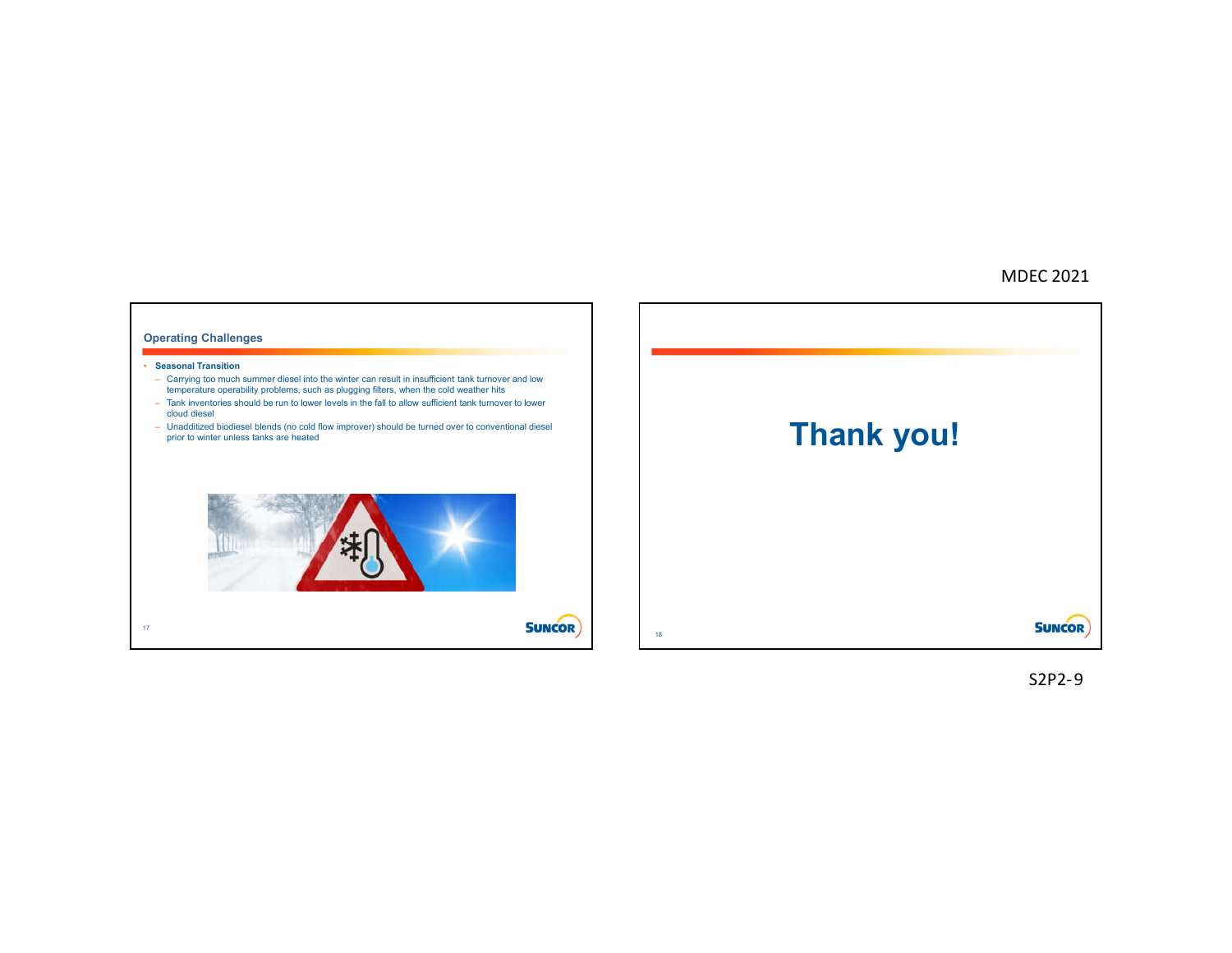